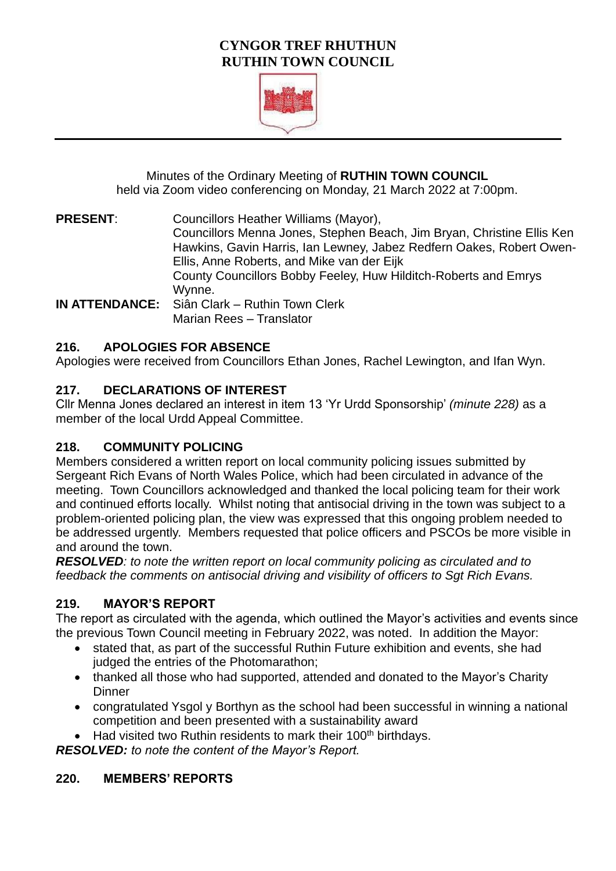## **CYNGOR TREF RHUTHUN RUTHIN TOWN COUNCIL**



Minutes of the Ordinary Meeting of **RUTHIN TOWN COUNCIL**  held via Zoom video conferencing on Monday, 21 March 2022 at 7:00pm.

**PRESENT**: Councillors Heather Williams (Mayor), Councillors Menna Jones, Stephen Beach, Jim Bryan, Christine Ellis Ken Hawkins, Gavin Harris, Ian Lewney, Jabez Redfern Oakes, Robert Owen-Ellis, Anne Roberts, and Mike van der Eijk County Councillors Bobby Feeley, Huw Hilditch-Roberts and Emrys Wynne. **IN ATTENDANCE:** Siân Clark – Ruthin Town Clerk

#### Marian Rees – Translator

#### **216. APOLOGIES FOR ABSENCE**

Apologies were received from Councillors Ethan Jones, Rachel Lewington, and Ifan Wyn.

#### **217. DECLARATIONS OF INTEREST**

Cllr Menna Jones declared an interest in item 13 'Yr Urdd Sponsorship' *(minute 228)* as a member of the local Urdd Appeal Committee.

### **218. COMMUNITY POLICING**

Members considered a written report on local community policing issues submitted by Sergeant Rich Evans of North Wales Police, which had been circulated in advance of the meeting. Town Councillors acknowledged and thanked the local policing team for their work and continued efforts locally. Whilst noting that antisocial driving in the town was subject to a problem-oriented policing plan, the view was expressed that this ongoing problem needed to be addressed urgently. Members requested that police officers and PSCOs be more visible in and around the town.

*RESOLVED: to note the written report on local community policing as circulated and to feedback the comments on antisocial driving and visibility of officers to Sgt Rich Evans.*

#### **219. MAYOR'S REPORT**

The report as circulated with the agenda, which outlined the Mayor's activities and events since the previous Town Council meeting in February 2022, was noted. In addition the Mayor:

- stated that, as part of the successful Ruthin Future exhibition and events, she had judged the entries of the Photomarathon;
- thanked all those who had supported, attended and donated to the Mayor's Charity **Dinner**
- congratulated Ysgol y Borthyn as the school had been successful in winning a national competition and been presented with a sustainability award
- Had visited two Ruthin residents to mark their  $100<sup>th</sup>$  birthdays.

*RESOLVED: to note the content of the Mayor's Report.*

#### **220. MEMBERS' REPORTS**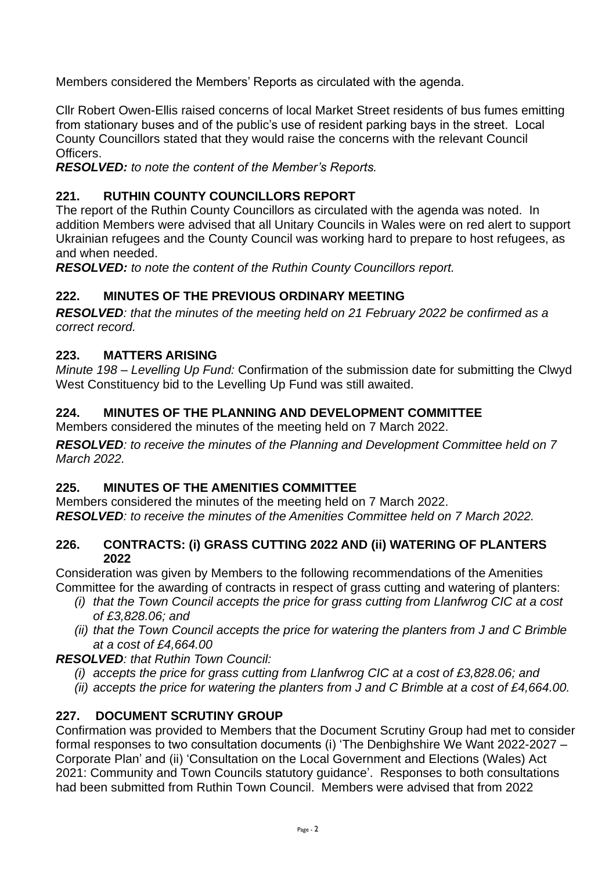Members considered the Members' Reports as circulated with the agenda.

Cllr Robert Owen-Ellis raised concerns of local Market Street residents of bus fumes emitting from stationary buses and of the public's use of resident parking bays in the street. Local County Councillors stated that they would raise the concerns with the relevant Council Officers.

*RESOLVED: to note the content of the Member's Reports.*

## **221. RUTHIN COUNTY COUNCILLORS REPORT**

The report of the Ruthin County Councillors as circulated with the agenda was noted. In addition Members were advised that all Unitary Councils in Wales were on red alert to support Ukrainian refugees and the County Council was working hard to prepare to host refugees, as and when needed.

*RESOLVED: to note the content of the Ruthin County Councillors report.*

# **222. MINUTES OF THE PREVIOUS ORDINARY MEETING**

*RESOLVED: that the minutes of the meeting held on 21 February 2022 be confirmed as a correct record.* 

### **223. MATTERS ARISING**

*Minute 198 – Levelling Up Fund:* Confirmation of the submission date for submitting the Clwyd West Constituency bid to the Levelling Up Fund was still awaited.

# **224. MINUTES OF THE PLANNING AND DEVELOPMENT COMMITTEE**

Members considered the minutes of the meeting held on 7 March 2022.

*RESOLVED: to receive the minutes of the Planning and Development Committee held on 7 March 2022.* 

### **225. MINUTES OF THE AMENITIES COMMITTEE**

Members considered the minutes of the meeting held on 7 March 2022. *RESOLVED: to receive the minutes of the Amenities Committee held on 7 March 2022.* 

#### **226. CONTRACTS: (i) GRASS CUTTING 2022 AND (ii) WATERING OF PLANTERS 2022**

Consideration was given by Members to the following recommendations of the Amenities Committee for the awarding of contracts in respect of grass cutting and watering of planters:

- *(i) that the Town Council accepts the price for grass cutting from Llanfwrog CIC at a cost of £3,828.06; and*
- *(ii) that the Town Council accepts the price for watering the planters from J and C Brimble at a cost of £4,664.00*

*RESOLVED: that Ruthin Town Council:*

- *(i) accepts the price for grass cutting from Llanfwrog CIC at a cost of £3,828.06; and*
- *(ii) accepts the price for watering the planters from J and C Brimble at a cost of £4,664.00.*

### **227. DOCUMENT SCRUTINY GROUP**

Confirmation was provided to Members that the Document Scrutiny Group had met to consider formal responses to two consultation documents (i) 'The Denbighshire We Want 2022-2027 – Corporate Plan' and (ii) 'Consultation on the Local Government and Elections (Wales) Act 2021: Community and Town Councils statutory guidance'. Responses to both consultations had been submitted from Ruthin Town Council. Members were advised that from 2022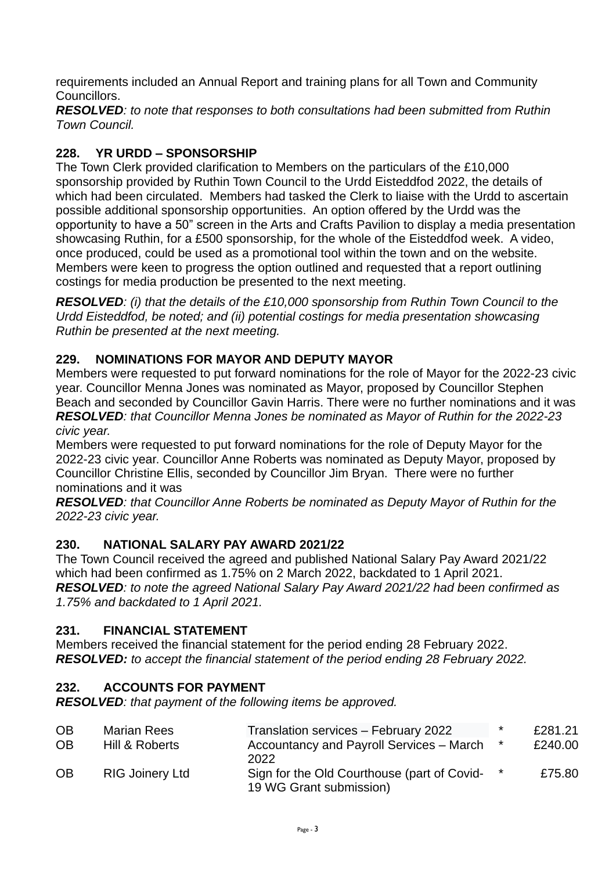requirements included an Annual Report and training plans for all Town and Community Councillors.

*RESOLVED: to note that responses to both consultations had been submitted from Ruthin Town Council.*

# **228. YR URDD – SPONSORSHIP**

The Town Clerk provided clarification to Members on the particulars of the £10,000 sponsorship provided by Ruthin Town Council to the Urdd Eisteddfod 2022, the details of which had been circulated. Members had tasked the Clerk to liaise with the Urdd to ascertain possible additional sponsorship opportunities. An option offered by the Urdd was the opportunity to have a 50" screen in the Arts and Crafts Pavilion to display a media presentation showcasing Ruthin, for a £500 sponsorship, for the whole of the Eisteddfod week. A video, once produced, could be used as a promotional tool within the town and on the website. Members were keen to progress the option outlined and requested that a report outlining costings for media production be presented to the next meeting.

*RESOLVED: (i) that the details of the £10,000 sponsorship from Ruthin Town Council to the Urdd Eisteddfod, be noted; and (ii) potential costings for media presentation showcasing Ruthin be presented at the next meeting.*

# **229. NOMINATIONS FOR MAYOR AND DEPUTY MAYOR**

Members were requested to put forward nominations for the role of Mayor for the 2022-23 civic year. Councillor Menna Jones was nominated as Mayor, proposed by Councillor Stephen Beach and seconded by Councillor Gavin Harris. There were no further nominations and it was *RESOLVED: that Councillor Menna Jones be nominated as Mayor of Ruthin for the 2022-23 civic year.*

Members were requested to put forward nominations for the role of Deputy Mayor for the 2022-23 civic year. Councillor Anne Roberts was nominated as Deputy Mayor, proposed by Councillor Christine Ellis, seconded by Councillor Jim Bryan. There were no further nominations and it was

*RESOLVED: that Councillor Anne Roberts be nominated as Deputy Mayor of Ruthin for the 2022-23 civic year.* 

### **230. NATIONAL SALARY PAY AWARD 2021/22**

The Town Council received the agreed and published National Salary Pay Award 2021/22 which had been confirmed as 1.75% on 2 March 2022, backdated to 1 April 2021. *RESOLVED: to note the agreed National Salary Pay Award 2021/22 had been confirmed as 1.75% and backdated to 1 April 2021.*

### **231. FINANCIAL STATEMENT**

Members received the financial statement for the period ending 28 February 2022. *RESOLVED: to accept the financial statement of the period ending 28 February 2022.*

### **232. ACCOUNTS FOR PAYMENT**

*RESOLVED: that payment of the following items be approved.*

| <b>OB</b> | <b>Marian Rees</b>     | Translation services - February 2022                                   | $\star$ | £281.21 |
|-----------|------------------------|------------------------------------------------------------------------|---------|---------|
| <b>OB</b> | Hill & Roberts         | Accountancy and Payroll Services - March<br>2022                       | $\star$ | £240.00 |
| <b>OB</b> | <b>RIG Joinery Ltd</b> | Sign for the Old Courthouse (part of Covid-<br>19 WG Grant submission) | $\star$ | £75.80  |